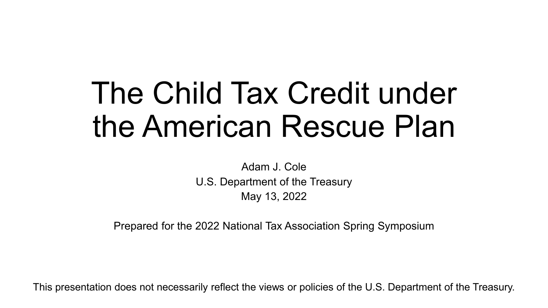# The Child Tax Credit under the American Rescue Plan

Adam J. Cole U.S. Department of the Treasury May 13, 2022

Prepared for the 2022 National Tax Association Spring Symposium

This presentation does not necessarily reflect the views or policies of the U.S. Department of the Treasury.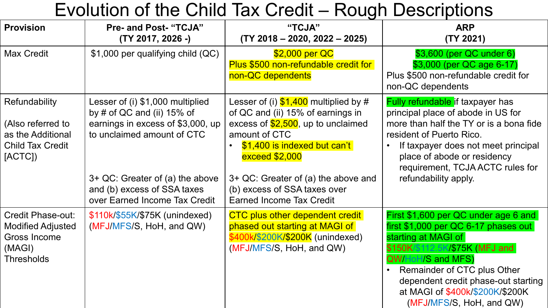### Evolution of the Child Tax Credit – Rough Descriptions

| <b>Provision</b>                                                                                    | <b>Pre- and Post- "TCJA"</b><br>(TY 2017, 2026 -)                                                                                                                                                                                       | "TCJA"<br>$(TY 2018 - 2020, 2022 - 2025)$                                                                                                                                                                                                                                                               | <b>ARP</b><br>(TY 2021)                                                                                                                                                                                                                                                                                 |
|-----------------------------------------------------------------------------------------------------|-----------------------------------------------------------------------------------------------------------------------------------------------------------------------------------------------------------------------------------------|---------------------------------------------------------------------------------------------------------------------------------------------------------------------------------------------------------------------------------------------------------------------------------------------------------|---------------------------------------------------------------------------------------------------------------------------------------------------------------------------------------------------------------------------------------------------------------------------------------------------------|
| <b>Max Credit</b>                                                                                   | \$1,000 per qualifying child (QC)                                                                                                                                                                                                       | \$2,000 per QC<br>Plus \$500 non-refundable credit for<br>non-QC dependents                                                                                                                                                                                                                             | \$3,600 (per QC under 6)<br>\$3,000 (per QC age 6-17)<br>Plus \$500 non-refundable credit for<br>non-QC dependents                                                                                                                                                                                      |
| Refundability<br>(Also referred to<br>as the Additional<br><b>Child Tax Credit</b><br>[ACTC]        | Lesser of (i) \$1,000 multiplied<br>by # of QC and (ii) $15\%$ of<br>earnings in excess of \$3,000, up<br>to unclaimed amount of CTC<br>3+ QC: Greater of (a) the above<br>and (b) excess of SSA taxes<br>over Earned Income Tax Credit | Lesser of (i) $$1,400$ multiplied by #<br>of QC and (ii) 15% of earnings in<br>excess of $$2,500$ , up to unclaimed<br>amount of CTC<br>\$1,400 is indexed but can't<br><b>exceed \$2,000</b><br>3+ QC: Greater of (a) the above and<br>(b) excess of SSA taxes over<br><b>Earned Income Tax Credit</b> | <b>Fully refundable if taxpayer has</b><br>principal place of abode in US for<br>more than half the TY or is a bona fide<br>resident of Puerto Rico.<br>If taxpayer does not meet principal<br>place of abode or residency<br>requirement, TCJA ACTC rules for<br>refundability apply.                  |
| <b>Credit Phase-out:</b><br><b>Modified Adjusted</b><br>Gross Income<br>(MAGI)<br><b>Thresholds</b> | \$110k/\$55K/\$75K (unindexed)<br>(MFJ/MFS/S, HoH, and QW)                                                                                                                                                                              | <b>CTC plus other dependent credit</b><br>phased out starting at MAGI of<br>\$400k/\$200K/\$200K (unindexed)<br>(MFJ/MFS/S, HoH, and QW)                                                                                                                                                                | First \$1,600 per QC under age 6 and<br>$first $1,000$ per QC 6-17 phases out<br>starting at MAGI of<br>\$150K/\$112.5K/\$75K (MFJ and<br><b>QW/HoH/S and MFS)</b><br>Remainder of CTC plus Other<br>dependent credit phase-out starting<br>at MAGI of \$400k/\$200K/\$200K<br>(MFJ/MFS/S, HoH, and QW) |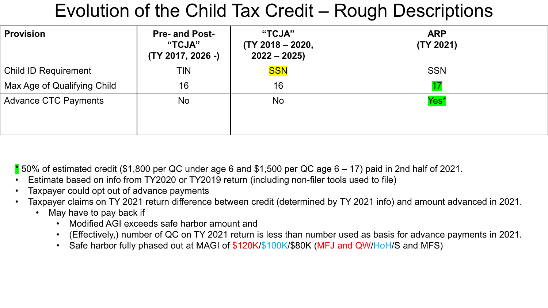### Evolution of the Child Tax Credit – Rough Descriptions

| <b>Provision</b>            | <b>Pre- and Post-</b><br>"TCJA"<br>(TY 2017, 2026 -) | "TCJA"<br>$(TY 2018 - 2020,$<br>$2022 - 2025$ | <b>ARP</b><br>(TY 2021) |
|-----------------------------|------------------------------------------------------|-----------------------------------------------|-------------------------|
| <b>Child ID Requirement</b> | <b>TIN</b>                                           | <b>SSN</b>                                    | <b>SSN</b>              |
| Max Age of Qualifying Child | 16                                                   | 16                                            |                         |
| <b>Advance CTC Payments</b> | <b>No</b>                                            | No                                            | Yes*                    |

 $*$  50% of estimated credit (\$1,800 per QC under age 6 and \$1,500 per QC age 6 – 17) paid in 2nd half of 2021.

- Estimate based on info from TY2020 or TY2019 return (including non-filer tools used to file)
- Taxpayer could opt out of advance payments
- Taxpayer claims on TY 2021 return difference between credit (determined by TY 2021 info) and amount advanced in 2021.
	- May have to pay back if
		- Modified AGI exceeds safe harbor amount and
		- (Effectively,) number of QC on TY 2021 return is less than number used as basis for advance payments in 2021.
		- Safe harbor fully phased out at MAGI of \$120K/\$100K/\$80K (MFJ and QW/HoH/S and MFS)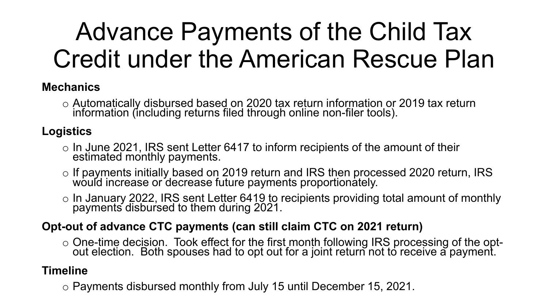## Advance Payments of the Child Tax Credit under the American Rescue Plan

#### **Mechanics**

o Automatically disbursed based on 2020 tax return information or 2019 tax return information (including returns filed through online non-filer tools).

#### **Logistics**

- $\circ$  In June 2021, IRS sent Letter 6417 to inform recipients of the amount of their estimated monthly payments.
- o If payments initially based on 2019 return and IRS then processed 2020 return, IRS would increase or decrease future payments proportionately.
- o In January 2022, IRS sent Letter 6419 to recipients providing total amount of monthly payments disbursed to them during 2021.

#### **Opt-out of advance CTC payments (can still claim CTC on 2021 return)**

o One-time decision. Took effect for the first month following IRS processing of the opt-<br>out election. Both spouses had to opt out for a joint return not to receive a payment.

#### **Timeline**

o Payments disbursed monthly from July 15 until December 15, 2021.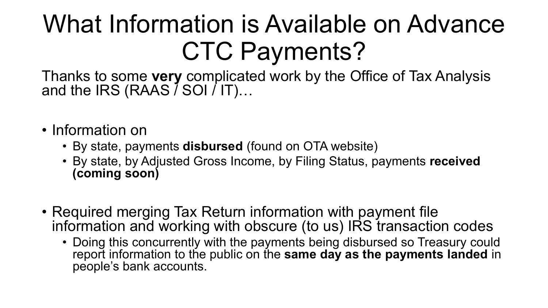## What Information is Available on Advance CTC Payments?

Thanks to some **very** complicated work by the Office of Tax Analysis and the IRS (RAAS  $\bar{\imath}$  SOI  $\bar{\imath}$  IT)...

- Information on
	- By state, payments **disbursed** (found on OTA website)
	- By state, by Adjusted Gross Income, by Filing Status, payments **received (coming soon)**
- Required merging Tax Return information with payment file information and working with obscure (to us) IRS transaction codes
	- Doing this concurrently with the payments being disbursed so Treasury could report information to the public on the **same day as the payments landed** in people's bank accounts.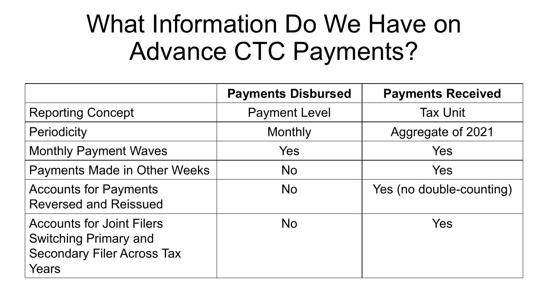### What Information Do We Have on Advance CTC Payments?

|                                                                                                                | <b>Payments Disbursed</b> | <b>Payments Received</b> |
|----------------------------------------------------------------------------------------------------------------|---------------------------|--------------------------|
| <b>Reporting Concept</b>                                                                                       | <b>Payment Level</b>      | <b>Tax Unit</b>          |
| <b>Periodicity</b>                                                                                             | Monthly                   | Aggregate of 2021        |
| <b>Monthly Payment Waves</b>                                                                                   | Yes                       | Yes                      |
| <b>Payments Made in Other Weeks</b>                                                                            | <b>No</b>                 | Yes                      |
| <b>Accounts for Payments</b><br><b>Reversed and Reissued</b>                                                   | <b>No</b>                 | Yes (no double-counting) |
| <b>Accounts for Joint Filers</b><br><b>Switching Primary and</b><br><b>Secondary Filer Across Tax</b><br>Years | <b>No</b>                 | Yes                      |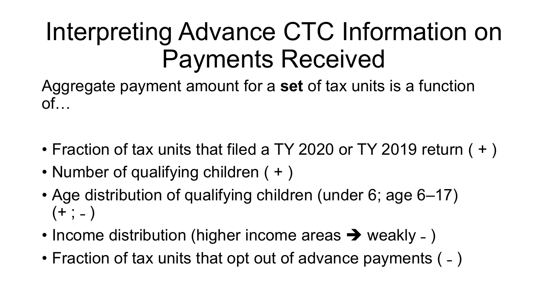### Interpreting Advance CTC Information on Payments Received

Aggregate payment amount for a **set** of tax units is a function  $of...$ 

- Fraction of tax units that filed a TY 2020 or TY 2019 return ( + )
- Number of qualifying children ( + )
- Age distribution of qualifying children (under 6; age 6–17)  $(+ ; - )$
- Income distribution (higher income areas  $\rightarrow$  weakly )
- Fraction of tax units that opt out of advance payments ( )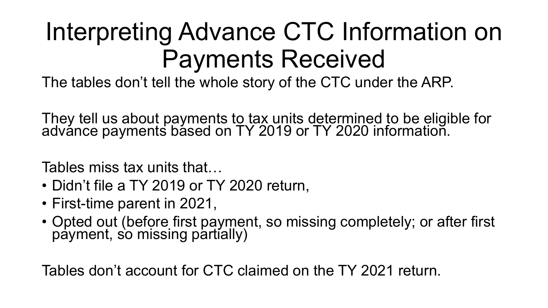### Interpreting Advance CTC Information on Payments Received

The tables don't tell the whole story of the CTC under the ARP.

They tell us about payments to tax units determined to be eligible for advánce payments básed on TY 2019 or TY 2020 informatioñ.

Tables miss tax units that…

- Didn't file a TY 2019 or TY 2020 return,
- First-time parent in 2021,
- Opted out (before first payment, so missing completely; or after first payment, so missing partially)

Tables don't account for CTC claimed on the TY 2021 return.